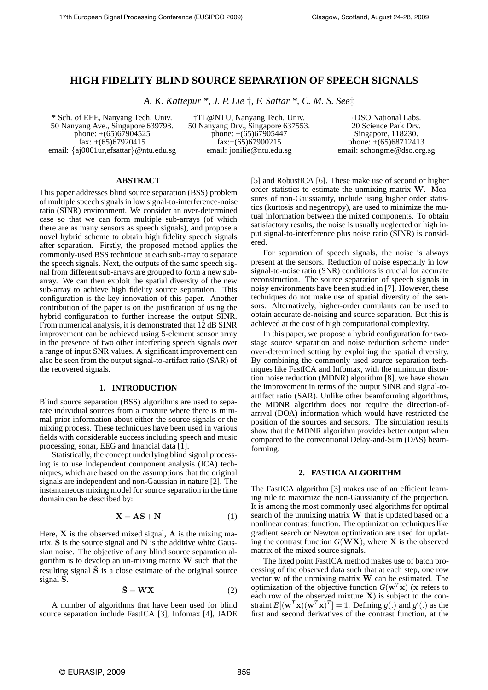# **HIGH FIDELITY BLIND SOURCE SEPARATION OF SPEECH SIGNALS**

*A. K. Kattepur \*, J. P. Lie* †*, F. Sattar \*, C. M. S. See*‡

\* Sch. of EEE, Nanyang Tech. Univ. 50 Nanyang Ave., Singapore 639798. phone:  $+(65)67904525$ fax:  $+(65)67920415$ email: {aj0001ur,efsattar}@ntu.edu.sg

†TL@NTU, Nanyang Tech. Univ. 50 Nanyang Drv., Singapore 637553. phone: +(65)67905447 fax:+(65)67900215 email: jonilie@ntu.edu.sg

‡DSO National Labs. 20 Science Park Drv. Singapore, 118230. phone: +(65)68712413 email: schongme@dso.org.sg

#### **ABSTRACT**

This paper addresses blind source separation (BSS) problem of multiple speech signals in low signal-to-interference-noise ratio (SINR) environment. We consider an over-determined case so that we can form multiple sub-arrays (of which there are as many sensors as speech signals), and propose a novel hybrid scheme to obtain high fidelity speech signals after separation. Firstly, the proposed method applies the commonly-used BSS technique at each sub-array to separate the speech signals. Next, the outputs of the same speech signal from different sub-arrays are grouped to form a new subarray. We can then exploit the spatial diversity of the new sub-array to achieve high fidelity source separation. This configuration is the key innovation of this paper. Another contribution of the paper is on the justification of using the hybrid configuration to further increase the output SINR. From numerical analysis, it is demonstrated that 12 dB SINR improvement can be achieved using 5-element sensor array in the presence of two other interfering speech signals over a range of input SNR values. A significant improvement can also be seen from the output signal-to-artifact ratio (SAR) of the recovered signals.

## **1. INTRODUCTION**

Blind source separation (BSS) algorithms are used to separate individual sources from a mixture where there is minimal prior information about either the source signals or the mixing process. These techniques have been used in various fields with considerable success including speech and music processing, sonar, EEG and financial data [1].

Statistically, the concept underlying blind signal processing is to use independent component analysis (ICA) techniques, which are based on the assumptions that the original signals are independent and non-Gaussian in nature [2]. The instantaneous mixing model for source separation in the time domain can be described by:

$$
X = AS + N \tag{1}
$$

Here,  $X$  is the observed mixed signal,  $A$  is the mixing matrix,  $S$  is the source signal and  $N$  is the additive white Gaussian noise. The objective of any blind source separation algorithm is to develop an un-mixing matrix  $W$  such that the resulting signal  $\hat{S}$  is a close estimate of the original source signal S.

$$
\hat{\mathbf{S}} = \mathbf{W}\mathbf{X} \tag{2}
$$

A number of algorithms that have been used for blind source separation include FastICA [3], Infomax [4], JADE [5] and RobustICA [6]. These make use of second or higher order statistics to estimate the unmixing matrix W. Measures of non-Gaussianity, include using higher order statistics (kurtosis and negentropy), are used to minimize the mutual information between the mixed components. To obtain satisfactory results, the noise is usually neglected or high input signal-to-interference plus noise ratio (SINR) is considered.

For separation of speech signals, the noise is always present at the sensors. Reduction of noise especially in low signal-to-noise ratio (SNR) conditions is crucial for accurate reconstruction. The source separation of speech signals in noisy environments have been studied in [7]. However, these techniques do not make use of spatial diversity of the sensors. Alternatively, higher-order cumulants can be used to obtain accurate de-noising and source separation. But this is achieved at the cost of high computational complexity.

In this paper, we propose a hybrid configuration for twostage source separation and noise reduction scheme under over-determined setting by exploiting the spatial diversity. By combining the commonly used source separation techniques like FastICA and Infomax, with the minimum distortion noise reduction (MDNR) algorithm [8], we have shown the improvement in terms of the output SINR and signal-toartifact ratio (SAR). Unlike other beamforming algorithms, the MDNR algorithm does not require the direction-ofarrival (DOA) information which would have restricted the position of the sources and sensors. The simulation results show that the MDNR algorithm provides better output when compared to the conventional Delay-and-Sum (DAS) beamforming.

## **2. FASTICA ALGORITHM**

The FastICA algorithm [3] makes use of an efficient learning rule to maximize the non-Gaussianity of the projection. It is among the most commonly used algorithms for optimal search of the unmixing matrix W that is updated based on a nonlinear contrast function. The optimization techniques like gradient search or Newton optimization are used for updating the contrast function  $G(WX)$ , where X is the observed matrix of the mixed source signals.

The fixed point FastICA method makes use of batch processing of the observed data such that at each step, one row vector  $w$  of the unmixing matrix  $W$  can be estimated. The optimization of the objective function  $G(\mathbf{w}^T\mathbf{x})$  (x refers to each row of the observed mixture  $X$ ) is subject to the constraint  $E[(\mathbf{w}^T \mathbf{x})(\mathbf{w}^T \mathbf{x})^T] = 1$ . Defining  $g(.)$  and  $g'(.)$  as the first and second derivatives of the contrast function, at the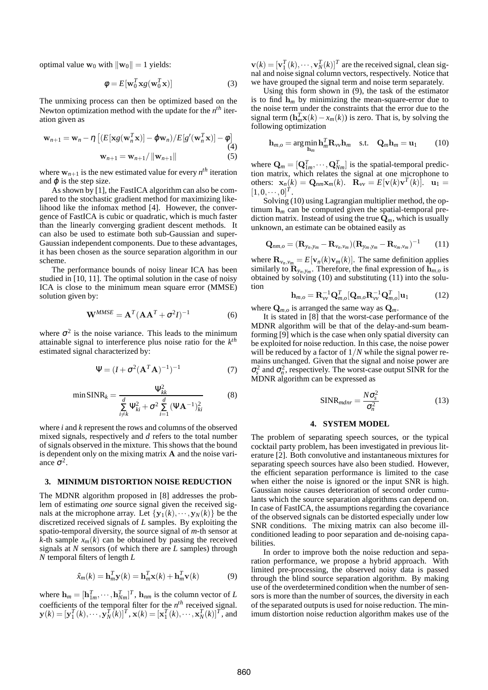optimal value  $\mathbf{w}_0$  with  $\|\mathbf{w}_0\| = 1$  yields:

$$
\phi = E[\mathbf{w}_0^T \mathbf{x} g(\mathbf{w}_0^T \mathbf{x})]
$$
 (3)

The unmixing process can then be optimized based on the Newton optimization method with the update for the *n th* iteration given as

$$
\mathbf{w}_{n+1} = \mathbf{w}_n - \eta \left[ (E[\mathbf{x}g(\mathbf{w}_n^T \mathbf{x})] - \varphi \mathbf{w}_n) / E[g'(\mathbf{w}_n^T \mathbf{x})] - \varphi \right]
$$
  
\n
$$
\mathbf{w}_{n+1} = \mathbf{w}_{n+1} / \|\mathbf{w}_{n+1}\|
$$
 (5)

where  $w_{n+1}$  is the new estimated value for every  $n^{th}$  iteration and  $\varphi$  is the step size.

As shown by [1], the FastICA algorithm can also be compared to the stochastic gradient method for maximizing likelihood like the infomax method [4]. However, the convergence of FastICA is cubic or quadratic, which is much faster than the linearly converging gradient descent methods. It can also be used to estimate both sub-Gaussian and super-Gaussian independent components. Due to these advantages, it has been chosen as the source separation algorithm in our scheme.

The performance bounds of noisy linear ICA has been studied in [10, 11]. The optimal solution in the case of noisy ICA is close to the minimum mean square error (MMSE) solution given by:

$$
\mathbf{W}^{MMSE} = \mathbf{A}^T (\mathbf{A}\mathbf{A}^T + \sigma^2 I)^{-1}
$$
 (6)

where  $\sigma^2$  is the noise variance. This leads to the minimum attainable signal to interference plus noise ratio for the *k th* estimated signal characterized by:

$$
\Psi = (I + \sigma^2 (\mathbf{A}^T \mathbf{A})^{-1})^{-1}
$$
 (7)

$$
\min \text{SINR}_k = \frac{\Psi_{kk}^2}{\sum_{i \neq k}^d \Psi_{ki}^2 + \sigma^2 \sum_{i=1}^d (\Psi \mathbf{A}^{-1})_{ki}^2}
$$
(8)

where *i* and *k* represent the rows and columns of the observed mixed signals, respectively and *d* refers to the total number of signals observed in the mixture. This shows that the bound is dependent only on the mixing matrix A and the noise variance  $\sigma^2$ .

### **3. MINIMUM DISTORTION NOISE REDUCTION**

The MDNR algorithm proposed in [8] addresses the problem of estimating *one* source signal given the received signals at the microphone array. Let  $\{y_1(k), \dots, y_N(k)\}\)$  be the discretized received signals of *L* samples. By exploiting the spatio-temporal diversity, the source signal of *m*-th sensor at *k*-th sample  $x_m(k)$  can be obtained by passing the received signals at *N* sensors (of which there are *L* samples) through *N* temporal filters of length *L*

$$
\hat{x}_m(k) = \mathbf{h}_m^T \mathbf{y}(k) = \mathbf{h}_m^T \mathbf{x}(k) + \mathbf{h}_m^T \mathbf{v}(k)
$$
(9)

where  $\mathbf{h}_m = [\mathbf{h}_{1m}^T, \cdots, \mathbf{h}_{Nm}^T]^T$ ,  $\mathbf{h}_{nm}$  is the column vector of *L* coefficients of the temporal filter for the  $n<sup>th</sup>$  received signal.  $\mathbf{y}(k) = [\mathbf{y}_1^T(k), \cdots, \mathbf{y}_N^T(k)]^T$ ,  $\mathbf{x}(k) = [\mathbf{x}_1^T(k), \cdots, \mathbf{x}_N^T(k)]^T$ , and

 $\mathbf{v}(k) = [\mathbf{v}_1^T(k), \cdots, \mathbf{v}_N^T(k)]^T$  are the received signal, clean signal and noise signal column vectors, respectively. Notice that we have grouped the signal term and noise term separately.

Using this form shown in (9), the task of the estimator is to find  $h_m$  by minimizing the mean-square-error due to the noise term under the constraints that the error due to the signal term  $(\mathbf{h}_m^T \mathbf{x}(k) - x_m(k))$  is zero. That is, by solving the following optimization

$$
\mathbf{h}_{m,o} = \arg\min_{\mathbf{h}_m} \mathbf{h}_m^T \mathbf{R}_{vv} \mathbf{h}_m \quad \text{s.t.} \quad \mathbf{Q}_m \mathbf{h}_m = \mathbf{u}_1 \tag{10}
$$

where  $\mathbf{Q}_m = [\mathbf{Q}_{1m}^T, \cdots, \mathbf{Q}_{Nm}^T]$  is the spatial-temporal prediction matrix, which relates the signal at one microphone to others:  $\mathbf{x}_n(k) = \mathbf{Q}_{nm} \mathbf{x}_m(k)$ .  $\mathbf{R}_{vv} = E[\mathbf{v}(k) \mathbf{v}^T(k)]$ .  $\mathbf{u}_1 =$  $[1,0,\cdots,0]^T$ .

Solving (10) using Lagrangian multiplier method, the optimum  $h_m$  can be computed given the spatial-temporal prediction matrix. Instead of using the true Q*m*, which is usually unknown, an estimate can be obtained easily as

$$
\mathbf{Q}_{nm,o} = (\mathbf{R}_{y_n,y_m} - \mathbf{R}_{v_n,v_m})(\mathbf{R}_{y_m,y_m} - \mathbf{R}_{v_m,v_m})^{-1}
$$
 (11)

where  $\mathbf{R}_{v_n,v_m} = E[\mathbf{v}_n(k)\mathbf{v}_m(k)]$ . The same definition applies similarly to  $\mathbf{R}_{y_n,y_m}$ . Therefore, the final expression of  $\mathbf{h}_{m,o}$  is obtained by solving (10) and substituting (11) into the solution

$$
\mathbf{h}_{m,o} = \mathbf{R}_{vv}^{-1} \mathbf{Q}_{m,o}^T [\mathbf{Q}_{m,o} \mathbf{R}_{vv}^{-1} \mathbf{Q}_{m,o}^T] \mathbf{u}_1
$$
 (12)

where  $\mathbf{Q}_{m,o}$  is arranged the same way as  $\mathbf{Q}_m$ .

It is stated in [8] that the worst-case performance of the MDNR algorithm will be that of the delay-and-sum beamforming [9] which is the case when only spatial diversity can be exploited for noise reduction. In this case, the noise power will be reduced by a factor of  $1/N$  while the signal power remains unchanged. Given that the signal and noise power are  $\sigma_s^2$  and  $\sigma_n^2$ , respectively. The worst-case output SINR for the MDNR algorithm can be expressed as

$$
SINR_{mdnr} = \frac{N\sigma_s^2}{\sigma_n^2}
$$
 (13)

## **4. SYSTEM MODEL**

The problem of separating speech sources, or the typical cocktail party problem, has been investigated in previous literature [2]. Both convolutive and instantaneous mixtures for separating speech sources have also been studied. However, the efficient separation performance is limited to the case when either the noise is ignored or the input SNR is high. Gaussian noise causes deterioration of second order cumulants which the source separation algorithms can depend on. In case of FastICA, the assumptions regarding the covariance of the observed signals can be distorted especially under low SNR conditions. The mixing matrix can also become illconditioned leading to poor separation and de-noising capabilities.

In order to improve both the noise reduction and separation performance, we propose a hybrid approach. With limited pre-processing, the observed noisy data is passed through the blind source separation algorithm. By making use of the overdetermined condition when the number of sensors is more than the number of sources, the diversity in each of the separated outputs is used for noise reduction. The minimum distortion noise reduction algorithm makes use of the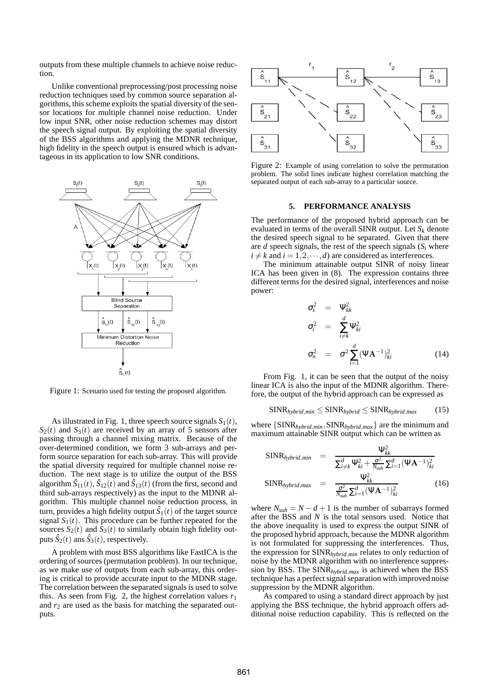outputs from these multiple channels to achieve noise reduction.

Unlike conventional preprocessing/post processing noise reduction techniques used by common source separation algorithms, this scheme exploits the spatial diversity of the sensor locations for multiple channel noise reduction. Under low input SNR, other noise reduction schemes may distort the speech signal output. By exploiting the spatial diversity of the BSS algorithms and applying the MDNR technique, high fidelity in the speech output is ensured which is advantageous in its application to low SNR conditions.



Figure 1: Scenario used for testing the proposed algorithm.

As illustrated in Fig. 1, three speech source signals  $S_1(t)$ ,  $S_2(t)$  and  $S_3(t)$  are received by an array of 5 sensors after passing through a channel mixing matrix. Because of the over-determined condition, we form 3 sub-arrays and perform source separation for each sub-array. This will provide the spatial diversity required for multiple channel noise reduction. The next stage is to utilize the output of the BSS algorithm  $\hat{S}_{11}(t)$ ,  $\hat{S}_{12}(t)$  and  $\hat{S}_{13}(t)$  (from the first, second and third sub-arrays respectively) as the input to the MDNR algorithm. This multiple channel noise reduction process, in turn, provides a high fidelity output  $\hat{S}_1(t)$  of the target source signal  $S_1(t)$ . This procedure can be further repeated for the sources  $S_2(t)$  and  $S_3(t)$  to similarly obtain high fidelity outputs  $\hat{S}_2(t)$  ans  $\hat{S}_3(t)$ , respectively.

A problem with most BSS algorithms like FastICA is the ordering of sources (permutation problem). In our technique, as we make use of outputs from each sub-array, this ordering is critical to provide accurate input to the MDNR stage. The correlation between the separated signals is used to solve this. As seen from Fig. 2, the highest correlation values  $r_1$ and  $r_2$  are used as the basis for matching the separated outputs.



Figure 2: Example of using correlation to solve the permutation problem. The solid lines indicate highest correlation matching the separated output of each sub-array to a particular source.

#### **5. PERFORMANCE ANALYSIS**

The performance of the proposed hybrid approach can be evaluated in terms of the overall SINR output. Let  $S_k$  denote the desired speech signal to be separated. Given that there are  $d$  speech signals, the rest of the speech signals  $(S_i$  where  $i \neq k$  and  $i = 1, 2, \dots, d$  are considered as interferences.

The minimum attainable output SINR of noisy linear ICA has been given in (8). The expression contains three different terms for the desired signal, interferences and noise power:

$$
\sigma_s^2 = \Psi_{kk}^2
$$
\n
$$
\sigma_i^2 = \sum_{i \neq k}^d \Psi_{ki}^2
$$
\n
$$
\sigma_n^2 = \sigma^2 \sum_{i=1}^d (\Psi \mathbf{A}^{-1})_{ki}^2
$$
\n(14)

From Fig. 1, it can be seen that the output of the noisy linear ICA is also the input of the MDNR algorithm. Therefore, the output of the hybrid approach can be expressed as

$$
SINRhybrid,min \leq SINRhybrid \leq SINRhybrid,max
$$
 (15)

where  $\{SINR_{hybrid,min}, SINR_{hybrid,max}\}$  are the minimum and maximum attainable SINR output which can be written as

$$
\begin{array}{rcl}\n\text{SINR}_{hybrid,min} & = & \frac{\Psi_{kk}^2}{\sum_{i \neq k}^d \Psi_{ki}^2 + \frac{\sigma^2}{N_{sub}} \sum_{i=1}^d (\Psi \mathbf{A}^{-1})_{ki}^2} \\
\text{SINR}_{hybrid,max} & = & \frac{\Psi_{kk}^2}{\frac{\sigma^2}{N_{sub}} \sum_{i=1}^d (\Psi \mathbf{A}^{-1})_{ki}^2} \n\end{array} \tag{16}
$$

where  $N_{sub} = N - d + 1$  is the number of subarrays formed after the BSS and *N* is the total sensors used. Notice that the above inequality is used to express the output SINR of the proposed hybrid approach, because the MDNR algorithm is not formulated for suppressing the interferences. Thus, the expression for SINR*hybrid*,*min* relates to only reduction of noise by the MDNR algorithm with no interference suppression by BSS. The SINR*hybrid*,*max* is achieved when the BSS technique has a perfect signal separation with improved noise suppression by the MDNR algorithm.

As compared to using a standard direct approach by just applying the BSS technique, the hybrid approach offers additional noise reduction capability. This is reflected on the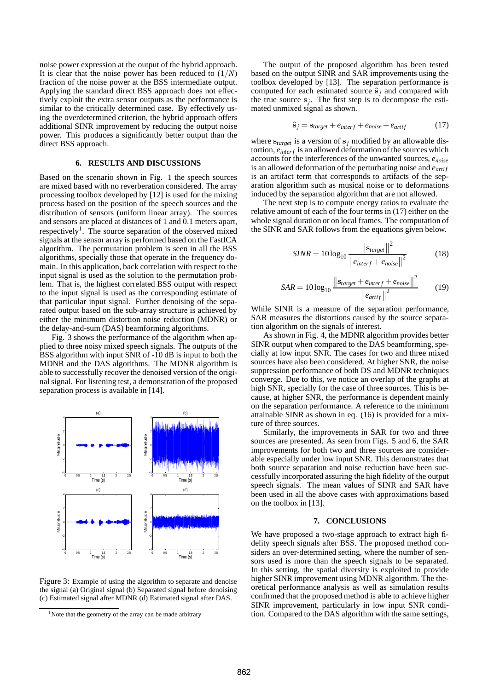noise power expression at the output of the hybrid approach. It is clear that the noise power has been reduced to  $(1/N)$ fraction of the noise power at the BSS intermediate output. Applying the standard direct BSS approach does not effectively exploit the extra sensor outputs as the performance is similar to the critically determined case. By effectively using the overdetermined criterion, the hybrid approach offers additional SINR improvement by reducing the output noise power. This produces a significantly better output than the direct BSS approach.

# **6. RESULTS AND DISCUSSIONS**

Based on the scenario shown in Fig. 1 the speech sources are mixed based with no reverberation considered. The array processing toolbox developed by [12] is used for the mixing process based on the position of the speech sources and the distribution of sensors (uniform linear array). The sources and sensors are placed at distances of 1 and 0.1 meters apart, respectively<sup>1</sup>. The source separation of the observed mixed signals at the sensor array is performed based on the FastICA algorithm. The permutation problem is seen in all the BSS algorithms, specially those that operate in the frequency domain. In this application, back correlation with respect to the input signal is used as the solution to the permutation problem. That is, the highest correlated BSS output with respect to the input signal is used as the corresponding estimate of that particular input signal. Further denoising of the separated output based on the sub-array structure is achieved by either the minimum distortion noise reduction (MDNR) or the delay-and-sum (DAS) beamforming algorithms.

Fig. 3 shows the performance of the algorithm when applied to three noisy mixed speech signals. The outputs of the BSS algorithm with input SNR of -10 dB is input to both the MDNR and the DAS algorithms. The MDNR algorithm is able to successfully recover the denoised version of the original signal. For listening test, a demonstration of the proposed separation process is available in [14].



Figure 3: Example of using the algorithm to separate and denoise the signal (a) Original signal (b) Separated signal before denoising (c) Estimated signal after MDNR (d) Estimated signal after DAS.

The output of the proposed algorithm has been tested based on the output SINR and SAR improvements using the toolbox developed by [13]. The separation performance is computed for each estimated source  $\hat{\mathbf{s}}_i$  and compared with the true source  $s_j$ . The first step is to decompose the estimated unmixed signal as shown.

$$
\hat{\mathbf{s}}_j = \mathbf{s}_{target} + e_{interf} + e_{noise} + e_{artif} \tag{17}
$$

where  $s_{target}$  is a version of  $s_j$  modified by an allowable distortion,  $e_{\text{interf}}$  is an allowed deformation of the sources which accounts for the interferences of the unwanted sources, *enoise* is an allowed deformation of the perturbating noise and  $e_{arti}$ is an artifact term that corresponds to artifacts of the separation algorithm such as musical noise or to deformations induced by the separation algorithm that are not allowed.

The next step is to compute energy ratios to evaluate the relative amount of each of the four terms in (17) either on the whole signal duration or on local frames. The computation of the SINR and SAR follows from the equations given below.

$$
SINR = 10\log_{10}\frac{\left\|\mathbf{s}_{target}\right\|^{2}}{\left\|e_{interf} + e_{noise}\right\|^{2}}
$$
(18)

$$
SAR = 10\log_{10}\frac{\left\| \mathbf{s}_{target} + e_{interf} + e_{noise} \right\|^2}{\left\| e_{arif} \right\|^2}
$$
(19)

While SINR is a measure of the separation performance, SAR measures the distortions caused by the source separation algorithm on the signals of interest.

As shown in Fig. 4, the MDNR algorithm provides better SINR output when compared to the DAS beamforming, specially at low input SNR. The cases for two and three mixed sources have also been considered. At higher SNR, the noise suppression performance of both DS and MDNR techniques converge. Due to this, we notice an overlap of the graphs at high SNR, specially for the case of three sources. This is because, at higher SNR, the performance is dependent mainly on the separation performance. A reference to the minimum attainable SINR as shown in eq. (16) is provided for a mixture of three sources.

Similarly, the improvements in SAR for two and three sources are presented. As seen from Figs. 5 and 6, the SAR improvements for both two and three sources are considerable especially under low input SNR. This demonstrates that both source separation and noise reduction have been successfully incorporated assuring the high fidelity of the output speech signals. The mean values of SINR and SAR have been used in all the above cases with approximations based on the toolbox in [13].

## **7. CONCLUSIONS**

We have proposed a two-stage approach to extract high fidelity speech signals after BSS. The proposed method considers an over-determined setting, where the number of sensors used is more than the speech signals to be separated. In this setting, the spatial diversity is exploited to provide higher SINR improvement using MDNR algorithm. The theoretical performance analysis as well as simulation results confirmed that the proposed method is able to achieve higher SINR improvement, particularly in low input SNR condition. Compared to the DAS algorithm with the same settings,

<sup>&</sup>lt;sup>1</sup>Note that the geometry of the array can be made arbitrary